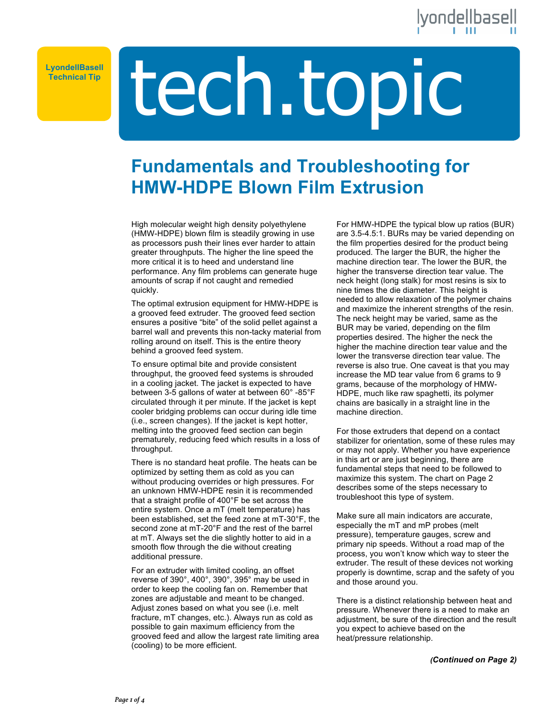### dellbasell

**Technical Tip**

# Technical Tip**le Lease Lease Lease Lease Lease Lease Lease Lease Lease Lease Lease Lease Lease Lease Lease Lease Lease Lease Lease Lease**

### **Fundamentals and Troubleshooting for HMW-HDPE Blown Film Extrusion**

High molecular weight high density polyethylene (HMW-HDPE) blown film is steadily growing in use as processors push their lines ever harder to attain greater throughputs. The higher the line speed the more critical it is to heed and understand line performance. Any film problems can generate huge amounts of scrap if not caught and remedied quickly.

The optimal extrusion equipment for HMW-HDPE is a grooved feed extruder. The grooved feed section ensures a positive "bite" of the solid pellet against a barrel wall and prevents this non-tacky material from rolling around on itself. This is the entire theory behind a grooved feed system.

To ensure optimal bite and provide consistent throughput, the grooved feed systems is shrouded in a cooling jacket. The jacket is expected to have between 3-5 gallons of water at between 60° -85°F circulated through it per minute. If the jacket is kept cooler bridging problems can occur during idle time (i.e., screen changes). If the jacket is kept hotter, melting into the grooved feed section can begin prematurely, reducing feed which results in a loss of throughput.

There is no standard heat profile. The heats can be optimized by setting them as cold as you can without producing overrides or high pressures. For an unknown HMW-HDPE resin it is recommended that a straight profile of 400°F be set across the entire system. Once a mT (melt temperature) has been established, set the feed zone at mT-30°F, the second zone at mT-20°F and the rest of the barrel at mT. Always set the die slightly hotter to aid in a smooth flow through the die without creating additional pressure.

For an extruder with limited cooling, an offset reverse of 390°, 400°, 390°, 395° may be used in order to keep the cooling fan on. Remember that zones are adjustable and meant to be changed. Adjust zones based on what you see (i.e. melt fracture, mT changes, etc.). Always run as cold as possible to gain maximum efficiency from the grooved feed and allow the largest rate limiting area (cooling) to be more efficient.

For HMW-HDPE the typical blow up ratios (BUR) are 3.5-4.5:1. BURs may be varied depending on the film properties desired for the product being produced. The larger the BUR, the higher the machine direction tear. The lower the BUR, the higher the transverse direction tear value. The neck height (long stalk) for most resins is six to nine times the die diameter. This height is needed to allow relaxation of the polymer chains and maximize the inherent strengths of the resin. The neck height may be varied, same as the BUR may be varied, depending on the film properties desired. The higher the neck the higher the machine direction tear value and the lower the transverse direction tear value. The reverse is also true. One caveat is that you may increase the MD tear value from 6 grams to 9 grams, because of the morphology of HMW-HDPE, much like raw spaghetti, its polymer chains are basically in a straight line in the machine direction.

For those extruders that depend on a contact stabilizer for orientation, some of these rules may or may not apply. Whether you have experience in this art or are just beginning, there are fundamental steps that need to be followed to maximize this system. The chart on Page 2 describes some of the steps necessary to troubleshoot this type of system.

Make sure all main indicators are accurate, especially the mT and mP probes (melt pressure), temperature gauges, screw and primary nip speeds. Without a road map of the process, you won't know which way to steer the extruder. The result of these devices not working properly is downtime, scrap and the safety of you and those around you.

There is a distinct relationship between heat and pressure. Whenever there is a need to make an adjustment, be sure of the direction and the result you expect to achieve based on the heat/pressure relationship.

*(Continued on Page 2)*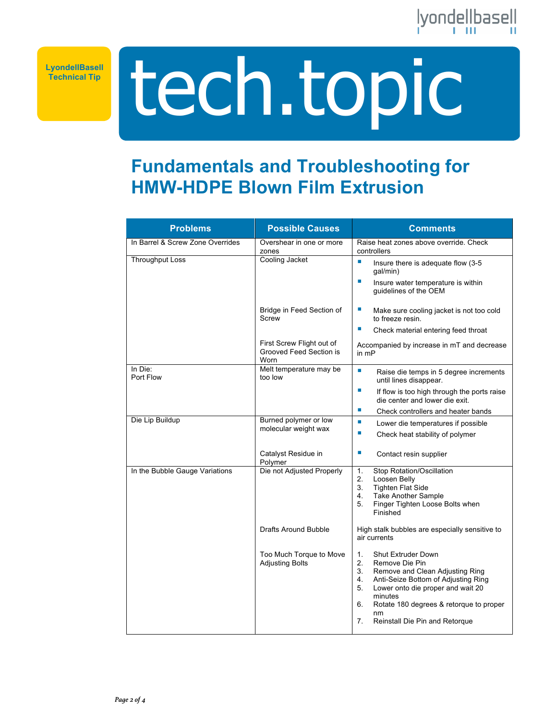

**Technical Tip**

## tech.topic **LyondellBasell**

### **Fundamentals and Troubleshooting for HMW-HDPE Blown Film Extrusion**

| <b>Problems</b>                  | <b>Possible Causes</b>                                       | <b>Comments</b>                                                                                                                                                                                                                                                                                    |
|----------------------------------|--------------------------------------------------------------|----------------------------------------------------------------------------------------------------------------------------------------------------------------------------------------------------------------------------------------------------------------------------------------------------|
| In Barrel & Screw Zone Overrides | Overshear in one or more<br>zones                            | Raise heat zones above override. Check<br>controllers                                                                                                                                                                                                                                              |
| <b>Throughput Loss</b>           | Cooling Jacket                                               | I.<br>Insure there is adequate flow (3-5<br>gal/min)<br>×.<br>Insure water temperature is within<br>guidelines of the OEM                                                                                                                                                                          |
|                                  | Bridge in Feed Section of<br>Screw                           | L.<br>Make sure cooling jacket is not too cold<br>to freeze resin.<br>×                                                                                                                                                                                                                            |
|                                  | First Screw Flight out of<br>Grooved Feed Section is<br>Worn | Check material entering feed throat<br>Accompanied by increase in mT and decrease<br>in $mP$                                                                                                                                                                                                       |
| In Die:<br>Port Flow             | Melt temperature may be<br>too low                           | ×<br>Raise die temps in 5 degree increments<br>until lines disappear.<br><b>I</b><br>If flow is too high through the ports raise<br>die center and lower die exit.                                                                                                                                 |
| Die Lip Buildup                  | Burned polymer or low                                        | ×<br>Check controllers and heater bands<br><b>I</b>                                                                                                                                                                                                                                                |
|                                  | molecular weight wax                                         | Lower die temperatures if possible<br><b>I</b><br>Check heat stability of polymer                                                                                                                                                                                                                  |
|                                  | Catalyst Residue in<br>Polymer                               | <b>I</b><br>Contact resin supplier                                                                                                                                                                                                                                                                 |
| In the Bubble Gauge Variations   | Die not Adjusted Properly                                    | 1.<br>Stop Rotation/Oscillation<br>2.<br>Loosen Belly<br>3.<br><b>Tighten Flat Side</b><br><b>Take Another Sample</b><br>4.<br>5.<br>Finger Tighten Loose Bolts when<br>Finished                                                                                                                   |
|                                  | Drafts Around Bubble                                         | High stalk bubbles are especially sensitive to<br>air currents                                                                                                                                                                                                                                     |
|                                  | Too Much Torque to Move<br><b>Adjusting Bolts</b>            | <b>Shut Extruder Down</b><br>1.<br>2.<br>Remove Die Pin<br>3.<br>Remove and Clean Adjusting Ring<br>Anti-Seize Bottom of Adjusting Ring<br>4.<br>Lower onto die proper and wait 20<br>5.<br>minutes<br>6.<br>Rotate 180 degrees & retorque to proper<br>nm<br>7.<br>Reinstall Die Pin and Retorque |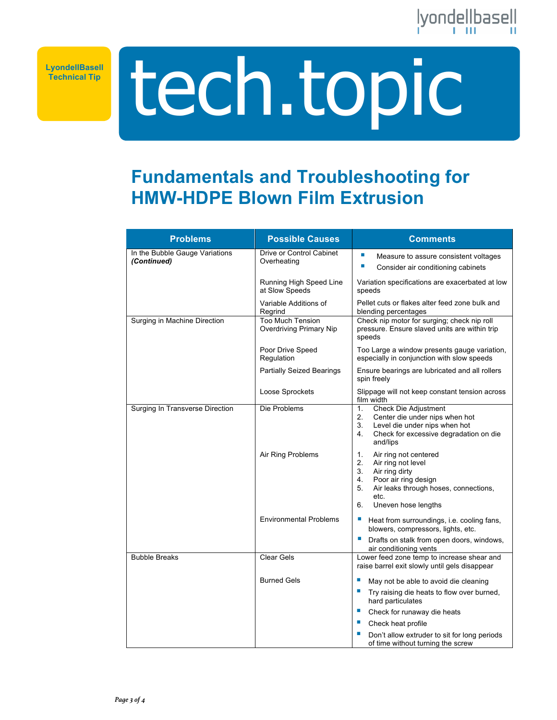

**Technical Tip**

tech.topic **LyondellBasell**

### **Fundamentals and Troubleshooting for HMW-HDPE Blown Film Extrusion**

| <b>Problems</b>                               | <b>Possible Causes</b>                                    | <b>Comments</b>                                                                                                                                                                                   |
|-----------------------------------------------|-----------------------------------------------------------|---------------------------------------------------------------------------------------------------------------------------------------------------------------------------------------------------|
| In the Bubble Gauge Variations<br>(Continued) | Drive or Control Cabinet<br>Overheating                   | п<br>Measure to assure consistent voltages<br>×.<br>Consider air conditioning cabinets                                                                                                            |
|                                               | Running High Speed Line<br>at Slow Speeds                 | Variation specifications are exacerbated at low<br>speeds                                                                                                                                         |
|                                               | Variable Additions of<br>Regrind                          | Pellet cuts or flakes alter feed zone bulk and<br>blending percentages                                                                                                                            |
| Surging in Machine Direction                  | <b>Too Much Tension</b><br><b>Overdriving Primary Nip</b> | Check nip motor for surging; check nip roll<br>pressure. Ensure slaved units are within trip<br>speeds                                                                                            |
|                                               | Poor Drive Speed<br>Regulation                            | Too Large a window presents gauge variation,<br>especially in conjunction with slow speeds                                                                                                        |
|                                               | <b>Partially Seized Bearings</b>                          | Ensure bearings are lubricated and all rollers<br>spin freely                                                                                                                                     |
|                                               | Loose Sprockets                                           | Slippage will not keep constant tension across<br>film width                                                                                                                                      |
| Surging In Transverse Direction               | Die Problems                                              | Check Die Adjustment<br>1.<br>2.<br>Center die under nips when hot<br>Level die under nips when hot<br>3.<br>Check for excessive degradation on die<br>4.<br>and/lips                             |
|                                               | Air Ring Problems                                         | 1.<br>Air ring not centered<br>2.<br>Air ring not level<br>3.<br>Air ring dirty<br>4.<br>Poor air ring design<br>5.<br>Air leaks through hoses, connections,<br>etc.<br>6.<br>Uneven hose lengths |
|                                               | <b>Environmental Problems</b>                             | Е<br>Heat from surroundings, i.e. cooling fans,<br>blowers, compressors, lights, etc.                                                                                                             |
|                                               |                                                           | ×<br>Drafts on stalk from open doors, windows,<br>air conditioning vents                                                                                                                          |
| <b>Bubble Breaks</b>                          | <b>Clear Gels</b>                                         | Lower feed zone temp to increase shear and<br>raise barrel exit slowly until gels disappear                                                                                                       |
|                                               | <b>Burned Gels</b>                                        | ш<br>May not be able to avoid die cleaning                                                                                                                                                        |
|                                               |                                                           | Try raising die heats to flow over burned,<br>hard particulates                                                                                                                                   |
|                                               |                                                           | ×.<br>Check for runaway die heats                                                                                                                                                                 |
|                                               |                                                           | Check heat profile                                                                                                                                                                                |
|                                               |                                                           | Don't allow extruder to sit for long periods<br>of time without turning the screw                                                                                                                 |